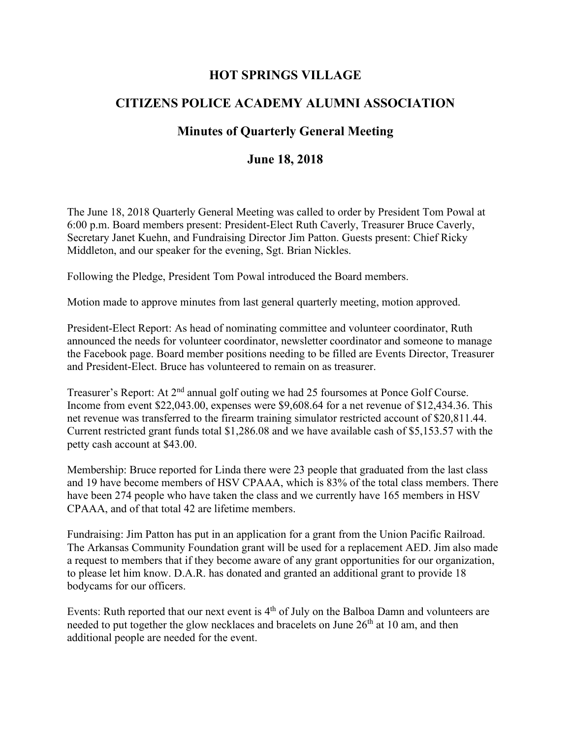## **HOT SPRINGS VILLAGE**

## **CITIZENS POLICE ACADEMY ALUMNI ASSOCIATION**

## **Minutes of Quarterly General Meeting**

## **June 18, 2018**

The June 18, 2018 Quarterly General Meeting was called to order by President Tom Powal at 6:00 p.m. Board members present: President-Elect Ruth Caverly, Treasurer Bruce Caverly, Secretary Janet Kuehn, and Fundraising Director Jim Patton. Guests present: Chief Ricky Middleton, and our speaker for the evening, Sgt. Brian Nickles.

Following the Pledge, President Tom Powal introduced the Board members.

Motion made to approve minutes from last general quarterly meeting, motion approved.

President-Elect Report: As head of nominating committee and volunteer coordinator, Ruth announced the needs for volunteer coordinator, newsletter coordinator and someone to manage the Facebook page. Board member positions needing to be filled are Events Director, Treasurer and President-Elect. Bruce has volunteered to remain on as treasurer.

Treasurer's Report: At 2<sup>nd</sup> annual golf outing we had 25 foursomes at Ponce Golf Course. Income from event \$22,043.00, expenses were \$9,608.64 for a net revenue of \$12,434.36. This net revenue was transferred to the firearm training simulator restricted account of \$20,811.44. Current restricted grant funds total \$1,286.08 and we have available cash of \$5,153.57 with the petty cash account at \$43.00.

Membership: Bruce reported for Linda there were 23 people that graduated from the last class and 19 have become members of HSV CPAAA, which is 83% of the total class members. There have been 274 people who have taken the class and we currently have 165 members in HSV CPAAA, and of that total 42 are lifetime members.

Fundraising: Jim Patton has put in an application for a grant from the Union Pacific Railroad. The Arkansas Community Foundation grant will be used for a replacement AED. Jim also made a request to members that if they become aware of any grant opportunities for our organization, to please let him know. D.A.R. has donated and granted an additional grant to provide 18 bodycams for our officers.

Events: Ruth reported that our next event is 4<sup>th</sup> of July on the Balboa Damn and volunteers are needed to put together the glow necklaces and bracelets on June  $26<sup>th</sup>$  at 10 am, and then additional people are needed for the event.